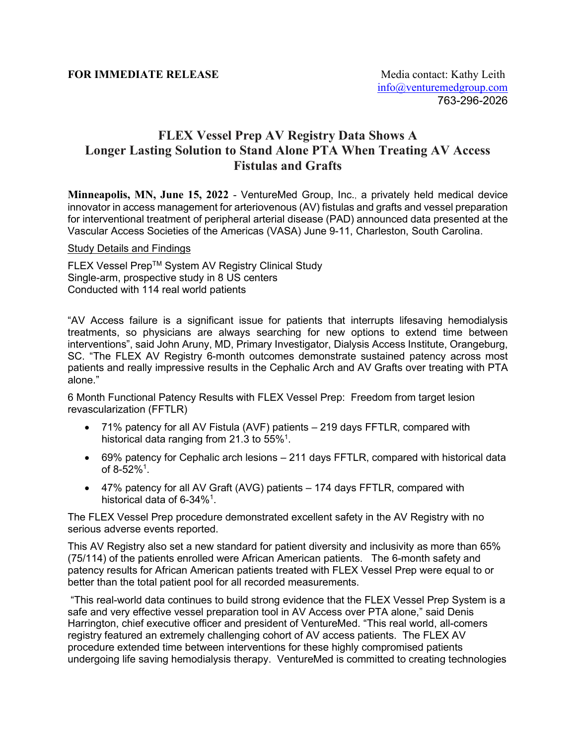## **FLEX Vessel Prep AV Registry Data Shows A Longer Lasting Solution to Stand Alone PTA When Treating AV Access Fistulas and Grafts**

**Minneapolis, MN, June 15, 2022** - VentureMed Group, Inc., a privately held medical device innovator in access management for arteriovenous (AV) fistulas and grafts and vessel preparation for interventional treatment of peripheral arterial disease (PAD) announced data presented at the Vascular Access Societies of the Americas (VASA) June 9-11, Charleston, South Carolina.

## Study Details and Findings

FLEX Vessel Prep™ System AV Registry Clinical Study Single-arm, prospective study in 8 US centers Conducted with 114 real world patients

"AV Access failure is a significant issue for patients that interrupts lifesaving hemodialysis treatments, so physicians are always searching for new options to extend time between interventions", said John Aruny, MD, Primary Investigator, Dialysis Access Institute, Orangeburg, SC. "The FLEX AV Registry 6-month outcomes demonstrate sustained patency across most patients and really impressive results in the Cephalic Arch and AV Grafts over treating with PTA alone."

6 Month Functional Patency Results with FLEX Vessel Prep: Freedom from target lesion revascularization (FFTLR)

- 71% patency for all AV Fistula (AVF) patients 219 days FFTLR, compared with historical data ranging from 21.3 to 55% $^{\rm 1}.$
- 69% patency for Cephalic arch lesions 211 days FFTLR, compared with historical data of 8-52%<sup>1</sup>.
- 47% patency for all AV Graft (AVG) patients 174 days FFTLR, compared with historical data of 6-34 $\%^1$ .

The FLEX Vessel Prep procedure demonstrated excellent safety in the AV Registry with no serious adverse events reported.

This AV Registry also set a new standard for patient diversity and inclusivity as more than 65% (75/114) of the patients enrolled were African American patients. The 6-month safety and patency results for African American patients treated with FLEX Vessel Prep were equal to or better than the total patient pool for all recorded measurements.

"This real-world data continues to build strong evidence that the FLEX Vessel Prep System is a safe and very effective vessel preparation tool in AV Access over PTA alone," said Denis Harrington, chief executive officer and president of VentureMed. "This real world, all-comers registry featured an extremely challenging cohort of AV access patients. The FLEX AV procedure extended time between interventions for these highly compromised patients undergoing life saving hemodialysis therapy. VentureMed is committed to creating technologies